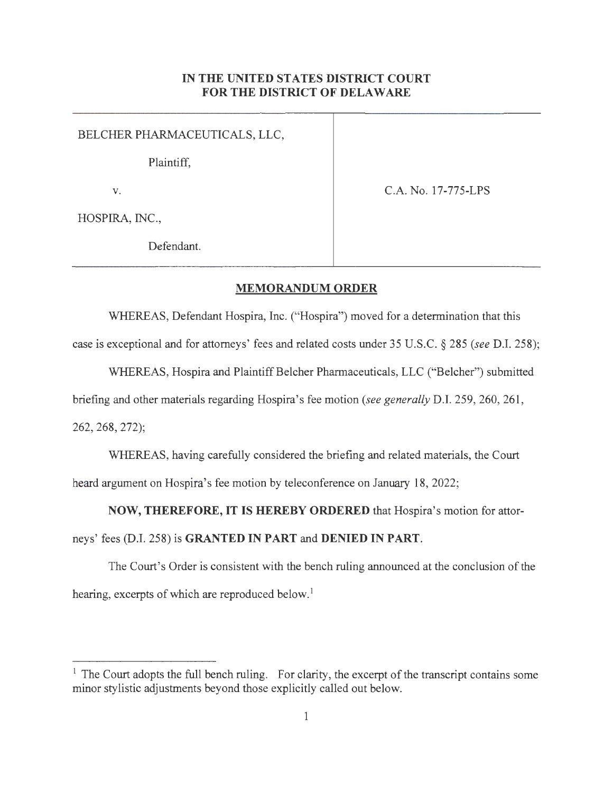## **IN THE UNITED STATES DISTRICT COURT FOR THE DISTRICT OF DELAWARE**

BELCHER PHARMACEUTICALS, LLC,

Plaintiff,

v. C.A.No. 17-775-LPS

HOSPIRA, INC.,

Defendant.

## **MEMORANDUM ORDER**

WHEREAS, Defendant Hospira, Inc. ("Hospira") moved for a determination that this

case is exceptional and for attorneys' fees and related costs under 35 U.S.C. § 285 *(see* D.I. 258);

WHEREAS, Hospira and Plaintiff Belcher Phannaceuticals, LLC ("Belcher") submitted

briefing and other materials regarding Hospira's fee motion *(see generally* D.I. 259,260,261,

262, 268, 272);

WHEREAS, having carefully considered the briefing and related materials, the Court heard argument on Hospira's fee motion by teleconference on January 18, 2022;

**NOW, THEREFORE, IT IS HEREBY ORDERED** that Hospira's motion for attor-

neys' fees (D.I. 258) is **GRANTED IN PART and DENIED IN PART.** 

The Court's Order is consistent with the bench ruling announced at the conclusion of the hearing, excerpts of which are reproduced below.<sup>1</sup>

<sup>&</sup>lt;sup>1</sup> The Court adopts the full bench ruling. For clarity, the excerpt of the transcript contains some minor stylistic adjustments beyond those explicitly called out below.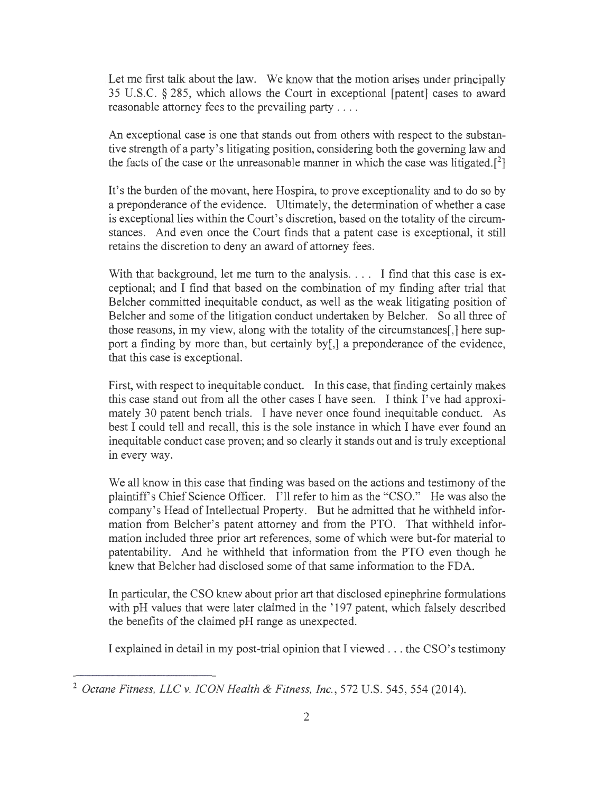Let me first talk about the law. We know that the motion arises under principally 35 U.S.C. § 285, which allows the Court in exceptional [patent] cases to award reasonable attorney fees to the prevailing party . . . .

An exceptional case is one that stands out from others with respect to the substantive strength of a party's litigating position, considering both the governing law and the facts of the case or the unreasonable manner in which the case was litigated.  $[2]$ 

It's the burden of the movant, here Hospira, to prove exceptionality and to do so by a preponderance of the evidence. Ultimately, the determination of whether a case is exceptional lies within the Court's discretion, based on the totality of the circumstances. And even once the Court finds that a patent case is exceptional, it still retains the discretion to deny an award of attorney fees.

With that background, let me turn to the analysis.  $\ldots$  I find that this case is exceptional; and I find that based on the combination of my finding after trial that Belcher committed inequitable conduct, as well as the weak litigating position of Belcher and some of the litigation conduct undertaken by Belcher. So all three of those reasons, in my view, along with the totality of the circumstances[,] here support a finding by more than, but certainly by[,] a preponderance of the evidence, that this case is exceptional.

First, with respect to inequitable conduct. In this case, that finding certainly makes this case stand out from all the other cases I have seen. I think I've had approximately 30 patent bench trials. I have never once found inequitable conduct. As best I could tell and recall, this is the sole instance in which I have ever found an inequitable conduct case proven; and so clearly it stands out and is truly exceptional in every way.

We all know in this case that finding was based on the actions and testimony of the plaintiff's Chief Science Officer. I'll refer to him as the "CSO." He was also the company's Head of Intellectual Property. But he admitted that he withheld information from Belcher's patent attorney and from the PTO. That withheld information included three prior art references, some of which were but-for material to patentability. And he withheld that information from the PTO even though he knew that Belcher had disclosed some of that same information to the FDA.

In particular, the CSO knew about prior art that disclosed epinephrine formulations with pH values that were later claimed in the '197 patent, which falsely described the benefits of the claimed pH range as unexpected.

I explained in detail in my post-trial opinion that I viewed ... the CSO's testimony

<sup>2</sup>*Octane Fitness, LLC v. ICON Health & Fitness, Inc.,* 572 U.S. 545, 554 (2014).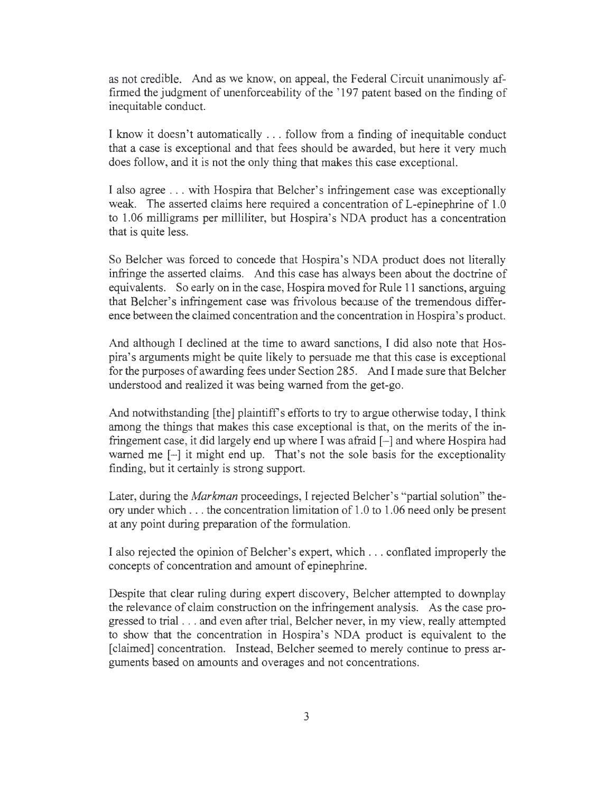as not credible. And as we know, on appeal, the Federal Circuit unanimously affirmed the judgment of unenforceability of the ' 197 patent based on the finding of inequitable conduct.

I know it doesn't automatically ... follow from a finding of inequitable conduct that a case is exceptional and that fees should be awarded, but here it very much does follow, and it is not the only thing that makes this case exceptional.

I also agree ... with Hospira that Belcher's infringement case was exceptionally weak. The asserted claims here required a concentration of L-epinephrine of 1.0 to 1.06 milligrams per milliliter, but Hospira's NDA product has a concentration that is quite less.

So Belcher was forced to concede that Hospira's NDA product does not literally infringe the asserted claims. And this case has always been about the doctrine of equivalents. So early on in the case, Hospira moved for Rule 11 sanctions, arguing that Belcher's infringement case was frivolous because of the tremendous difference between the claimed concentration and the concentration in Hospira' s product.

And although I declined at the time to award sanctions, I did also note that Hospira' s arguments might be quite likely to persuade me that this case is exceptional for the purposes of awarding fees under Section 285. And I made sure that Belcher understood and realized it was being warned from the get-go.

And notwithstanding [the] plaintiff's efforts to try to argue otherwise today, I think among the things that makes this case exceptional is that, on the merits of the infringement case, it did largely end up where I was afraid  $[-]$  and where Hospira had warned me  $[-]$  it might end up. That's not the sole basis for the exceptionality finding, but it certainly is strong support.

Later, during the *Markman* proceedings, I rejected Belcher's "partial solution" theory under which ... the concentration limitation of 1.0 to 1.06 need only be present at any point during preparation of the formulation.

I also rejected the opinion of Belcher's expert, which . .. conflated improperly the concepts of concentration and amount of epinephrine.

Despite that clear ruling during expert discovery, Belcher attempted to downplay the relevance of claim construction on the infringement analysis. As the case progressed to trial ... and even after trial, Belcher never, in my view, really attempted to show that the concentration in Hospira's NDA product is equivalent to the [claimed] concentration. Instead, Belcher seemed to merely continue to press arguments based on amounts and overages and not concentrations.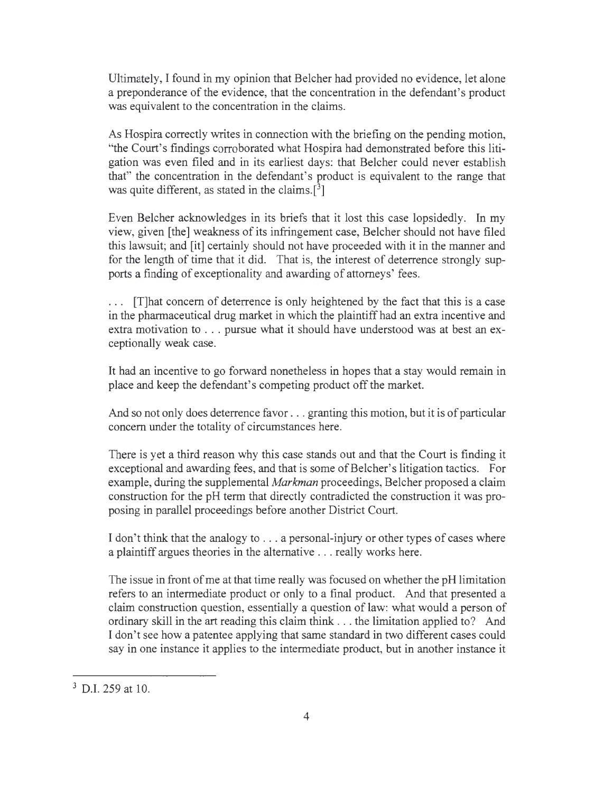Ultimately, I found in my opinion that Belcher had provided no evidence, let alone a preponderance of the evidence, that the concentration in the defendant's product was equivalent to the concentration in the claims.

As Hospira correctly writes in connection with the briefing on the pending motion, "the Court's findings corroborated what Hospira had demonstrated before this litigation was even filed and in its earliest days: that Belcher could never establish that" the concentration in the defendant's product is equivalent to the range that was quite different, as stated in the claims.  $\lceil \frac{3}{2} \rceil$ 

Even Belcher acknowledges in its briefs that it lost this case lopsidedly. In my view, given [the] weakness of its infringement case, Belcher should not have filed this lawsuit; and [it] certainly should not have proceeded with it in the manner and for the length of time that it did. That is, the interest of deterrence strongly supports a finding of exceptionality and awarding of attorneys' fees.

. . . [T]hat concern of deterrence is only heightened by the fact that this is a case in the pharmaceutical drug market in which the plaintiff had an extra incentive and extra motivation to ... pursue what it should have understood was at best an exceptionally weak case.

It had an incentive to go forward nonetheless in hopes that a stay would remain in place and keep the defendant's competing product off the market.

And so not only does deterrence favor .. . granting this motion, but it is of particular concern under the totality of circumstances here.

There is yet a third reason why this case stands out and that the Court is finding it exceptional and awarding fees, and that is some of Belcher's litigation tactics. For example, during the supplemental *Markman* proceedings, Belcher proposed a claim construction for the pH term that directly contradicted the construction it was proposing in parallel proceedings before another District Court.

I don't think that the analogy to ... a personal-injury or other types of cases where a plaintiff argues theories in the alternative ... really works here.

The issue in front of me at that time really was focused on whether the pH limitation refers to an intermediate product or only to a final product. And that presented a claim construction question, essentially a question of law: what would a person of ordinary skill in the art reading this claim think ... the limitation applied to? And I don't see how a patentee applying that same standard in two different cases could say in one instance it applies to the intermediate product, but in another instance it

 $3$  D.I. 259 at 10.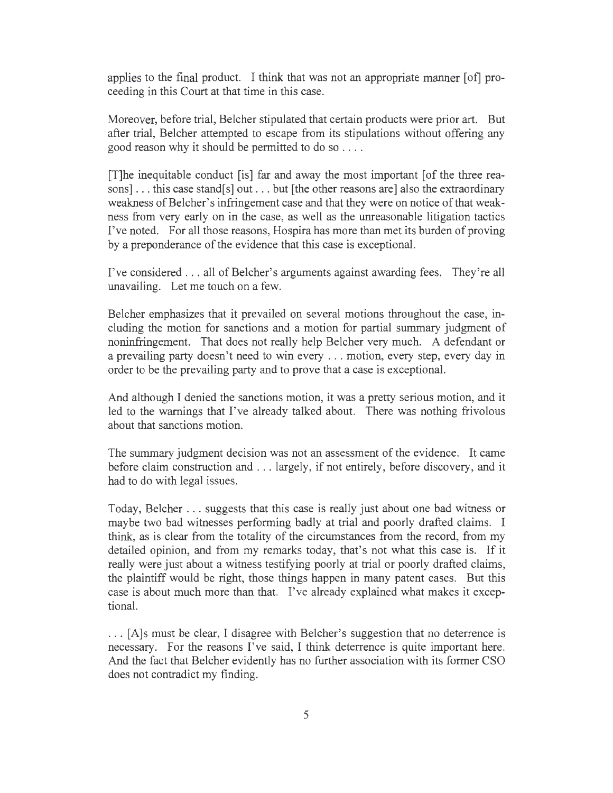applies to the final product. I think that was not an appropriate manner [of] proceeding in this Court at that time in this case.

Moreover, before trial, Belcher stipulated that certain products were prior art. But after trial, Belcher attempted to escape from its stipulations without offering any good reason why it should be permitted to do so .. . .

[T]he inequitable conduct [is] far and away the most important [ of the three reasons]... this case stand[s] out ... but [the other reasons are] also the extraordinary weakness of Belcher's infringement case and that they were on notice of that weakness from very early on in the case, as well as the unreasonable litigation tactics I've noted. For all those reasons, Hospira has more than met its burden of proving by a preponderance of the evidence that this case is exceptional.

I've considered ... all of Belcher's arguments against awarding fees. They're all unavailing. Let me touch on a few.

Belcher emphasizes that it prevailed on several motions throughout the case, including the motion for sanctions and a motion for partial summary judgment of noninfringement. That does not really help Belcher very much. A defendant or a prevailing party doesn't need to win every .. . motion, every step, every day in order to be the prevailing party and to prove that a case is exceptional.

And although I denied the sanctions motion, it was a pretty serious motion, and it led to the warnings that I've already talked about. There was nothing frivolous about that sanctions motion.

The summary judgment decision was not an assessment of the evidence. It came before claim construction and ... largely, if not entirely, before discovery, and it had to do with legal issues.

Today, Belcher ... suggests that this case is really just about one bad witness or maybe two bad witnesses performing badly at trial and poorly drafted claims. I think, as is clear from the totality of the circumstances from the record, from my detailed opinion, and from my remarks today, that's not what this case is. If it really were just about a witness testifying poorly at trial or poorly drafted claims, the plaintiff would be right, those things happen in many patent cases. But this case is about much more than that. I've already explained what makes it exceptional.

. .. [A]s must be clear, I disagree with Belcher's suggestion that no deterrence is necessary. For the reasons I've said, I think deterrence is quite important here. And the fact that Belcher evidently has no further association with its former CSO does not contradict my finding.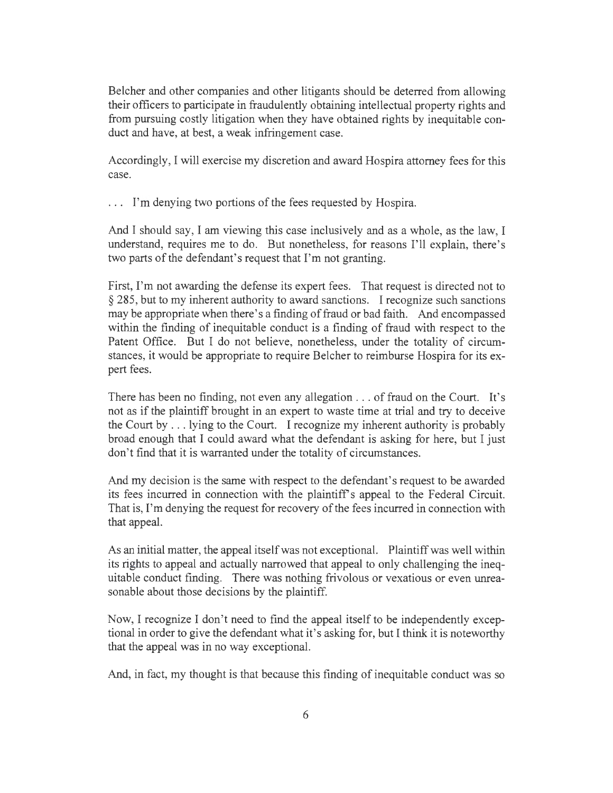Belcher and other companies and other litigants should be deterred from allowing their officers to participate in fraudulently obtaining intellectual property rights and from pursuing costly litigation when they have obtained rights by inequitable conduct and have, at best, a weak infringement case.

Accordingly, I will exercise my discretion and award Hospira attorney fees for this case.

. . . I'm denying two portions of the fees requested by Hospira.

And I should say, I am viewing this case inclusively and as a whole, as the law, I understand, requires me to do. But nonetheless, for reasons I'll explain, there's two parts of the defendant's request that I'm not granting.

First, I'm not awarding the defense its expert fees. That request is directed not to § 285, but to my inherent authority to award sanctions. I recognize such sanctions may be appropriate when there's a finding of fraud or bad faith. And encompassed within the finding of inequitable conduct is a finding of fraud with respect to the Patent Office. But I do not believe, nonetheless, under the totality of circumstances, it would be appropriate to require Belcher to reimburse Hospira for its expert fees.

There has been no finding, not even any allegation . .. of fraud on the Court. It's not as if the plaintiff brought in an expert to waste time at trial and try to deceive the Court by ... lying to the Court. I recognize my inherent authority is probably broad enough that I could award what the defendant is asking for here, but I just don't find that it is warranted under the totality of circumstances.

And my decision is the same with respect to the defendant's request to be awarded its fees incurred in connection with the plaintiff's appeal to the Federal Circuit. That is, I'm denying the request for recovery of the fees incurred in connection with that appeal.

As an initial matter, the appeal itself was not exceptional. Plaintiff was well within its rights to appeal and actually narrowed that appeal to only challenging the inequitable conduct finding. There was nothing frivolous or vexatious or even unreasonable about those decisions by the plaintiff.

Now, I recognize I don't need to find the appeal itself to be independently exceptional in order to give the defendant what it's asking for, but I think it is noteworthy that the appeal was in no way exceptional.

And, in fact, my thought is that because this finding of inequitable conduct was so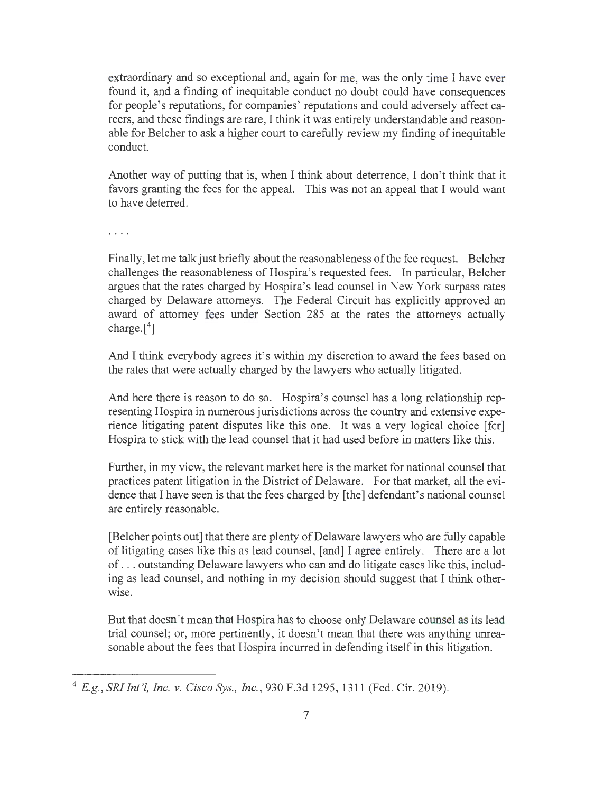extraordinary and so exceptional and, again for me, was the only time I have ever found it, and a finding of inequitable conduct no doubt could have consequences for people's reputations, for companies' reputations and could adversely affect careers, and these findings are rare, I think it was entirely understandable and reasonable for Belcher to ask a higher court to carefully review my finding of inequitable conduct.

Another way of putting that is, when I think about deterrence, I don't think that it favors granting the fees for the appeal. This was not an appeal that I would want to have deterred.

 $\cdots$ 

Finally, let me talk just briefly about the reasonableness of the fee request. Belcher challenges the reasonableness of Hospira's requested fees. In particular, Belcher argues that the rates charged by Hospira's lead counsel in New York surpass rates charged by Delaware attorneys. The Federal Circuit has explicitly approved an award of attorney fees under Section 285 at the rates the attorneys actually charge.<sup>[4]</sup>

And I think everybody agrees it's within my discretion to award the fees based on the rates that were actually charged by the lawyers who actually litigated.

And here there is reason to do so. Hospira's counsel has a long relationship representing Hospira in numerous jurisdictions across the country and extensive experience litigating patent disputes like this one. It was a very logical choice [for] Hospira to stick with the lead counsel that it had used before in matters like this.

Further, in my view, the relevant market here is the market for national counsel that practices patent litigation in the District of Delaware. For that market, all the evidence that I have seen is that the fees charged by [the] defendant's national counsel are entirely reasonable.

[Belcher points out] that there are plenty of Delaware lawyers who are fully capable of litigating cases like this as lead counsel, [ and] I agree entirely. There are a lot of ... outstanding Delaware lawyers who can and do litigate cases like this, including as lead counsel, and nothing in my decision should suggest that I think otherwise.

But that doesn't mean that Hospira has to choose only Delaware counsel as its lead trial counsel; or, more pertinently, it doesn't mean that there was anything unreasonable about the fees that Hospira incurred in defending itself in this litigation.

<sup>4</sup>*E.g. , SRI Int '!, Inc. v. Cisco Sys., Inc.,* 930 F.3d 1295, 1311 (Fed. Cir. 2019).